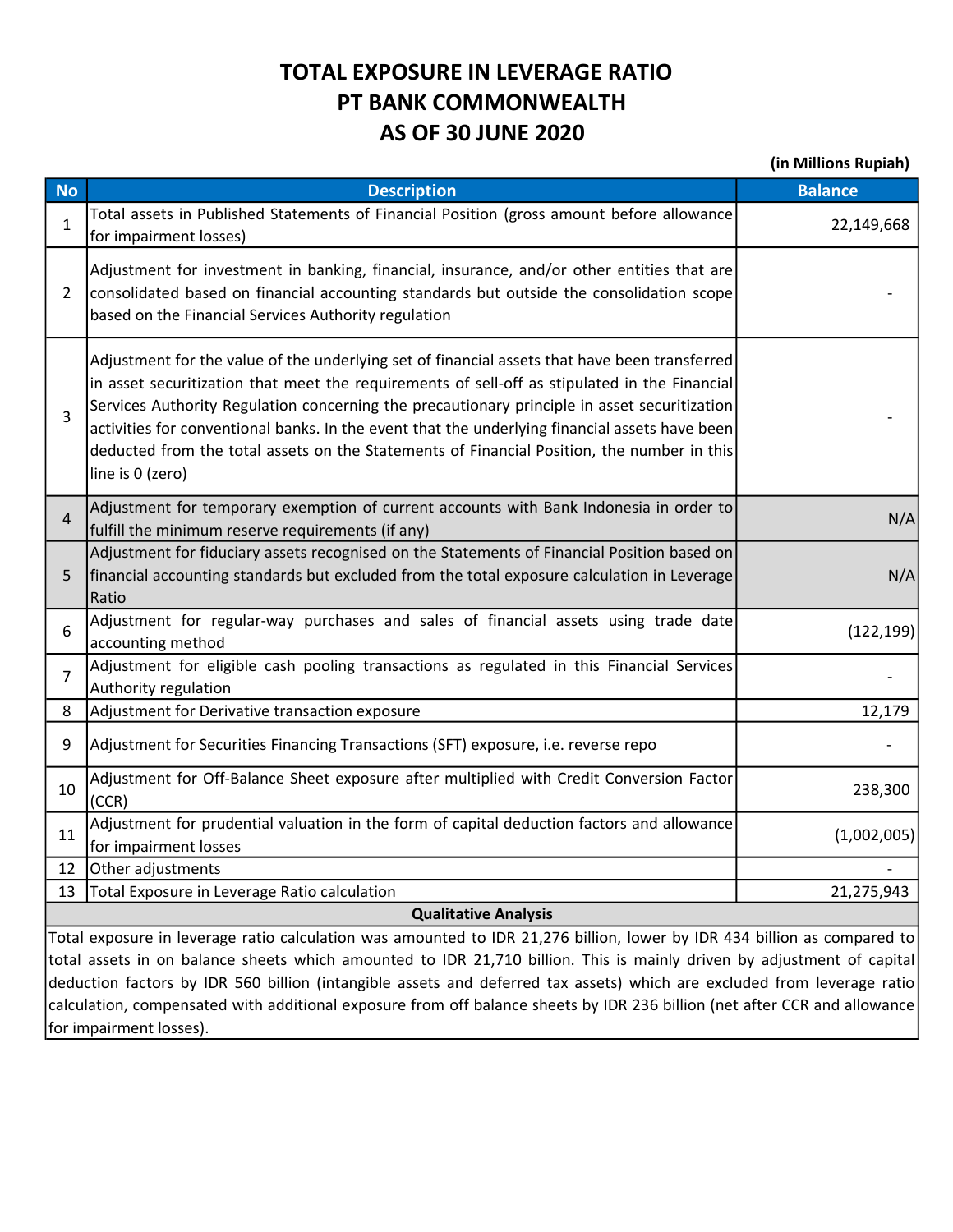## TOTAL EXPOSURE IN LEVERAGE RATIO PT BANK COMMONWEALTH AS OF 30 JUNE 2020

(in Millions Rupiah)

| <b>No</b>                                                                                                                                                                                                                                         | <b>Description</b>                                                                                                                                                                                                                                                                                                                                                                                                                                                                                                 | <b>Balance</b> |  |  |  |
|---------------------------------------------------------------------------------------------------------------------------------------------------------------------------------------------------------------------------------------------------|--------------------------------------------------------------------------------------------------------------------------------------------------------------------------------------------------------------------------------------------------------------------------------------------------------------------------------------------------------------------------------------------------------------------------------------------------------------------------------------------------------------------|----------------|--|--|--|
| 1                                                                                                                                                                                                                                                 | Total assets in Published Statements of Financial Position (gross amount before allowance<br>for impairment losses)                                                                                                                                                                                                                                                                                                                                                                                                | 22,149,668     |  |  |  |
| $\overline{2}$                                                                                                                                                                                                                                    | Adjustment for investment in banking, financial, insurance, and/or other entities that are<br>consolidated based on financial accounting standards but outside the consolidation scope<br>based on the Financial Services Authority regulation                                                                                                                                                                                                                                                                     |                |  |  |  |
| 3                                                                                                                                                                                                                                                 | Adjustment for the value of the underlying set of financial assets that have been transferred<br>in asset securitization that meet the requirements of sell-off as stipulated in the Financial<br>Services Authority Regulation concerning the precautionary principle in asset securitization<br>activities for conventional banks. In the event that the underlying financial assets have been<br>deducted from the total assets on the Statements of Financial Position, the number in this<br>line is 0 (zero) |                |  |  |  |
| $\overline{4}$                                                                                                                                                                                                                                    | Adjustment for temporary exemption of current accounts with Bank Indonesia in order to<br>fulfill the minimum reserve requirements (if any)                                                                                                                                                                                                                                                                                                                                                                        | N/A            |  |  |  |
| 5                                                                                                                                                                                                                                                 | Adjustment for fiduciary assets recognised on the Statements of Financial Position based on<br>financial accounting standards but excluded from the total exposure calculation in Leverage<br>Ratio                                                                                                                                                                                                                                                                                                                | N/A            |  |  |  |
| 6                                                                                                                                                                                                                                                 | Adjustment for regular-way purchases and sales of financial assets using trade date<br>accounting method                                                                                                                                                                                                                                                                                                                                                                                                           | (122, 199)     |  |  |  |
| 7                                                                                                                                                                                                                                                 | Adjustment for eligible cash pooling transactions as regulated in this Financial Services<br>Authority regulation                                                                                                                                                                                                                                                                                                                                                                                                  |                |  |  |  |
| 8                                                                                                                                                                                                                                                 | Adjustment for Derivative transaction exposure                                                                                                                                                                                                                                                                                                                                                                                                                                                                     | 12,179         |  |  |  |
| 9                                                                                                                                                                                                                                                 | Adjustment for Securities Financing Transactions (SFT) exposure, i.e. reverse repo                                                                                                                                                                                                                                                                                                                                                                                                                                 |                |  |  |  |
| 10                                                                                                                                                                                                                                                | Adjustment for Off-Balance Sheet exposure after multiplied with Credit Conversion Factor<br>(CCR)                                                                                                                                                                                                                                                                                                                                                                                                                  | 238,300        |  |  |  |
| 11                                                                                                                                                                                                                                                | Adjustment for prudential valuation in the form of capital deduction factors and allowance<br>for impairment losses                                                                                                                                                                                                                                                                                                                                                                                                | (1,002,005)    |  |  |  |
| 12                                                                                                                                                                                                                                                | Other adjustments                                                                                                                                                                                                                                                                                                                                                                                                                                                                                                  |                |  |  |  |
| 13                                                                                                                                                                                                                                                | Total Exposure in Leverage Ratio calculation                                                                                                                                                                                                                                                                                                                                                                                                                                                                       | 21,275,943     |  |  |  |
| <b>Qualitative Analysis</b>                                                                                                                                                                                                                       |                                                                                                                                                                                                                                                                                                                                                                                                                                                                                                                    |                |  |  |  |
| Total exposure in leverage ratio calculation was amounted to IDR 21,276 billion, lower by IDR 434 billion as compared to                                                                                                                          |                                                                                                                                                                                                                                                                                                                                                                                                                                                                                                                    |                |  |  |  |
| total assets in on balance sheets which amounted to IDR 21,710 billion. This is mainly driven by adjustment of capital<br>deduction factors by IDR 560 billion (intangible assets and deferred tax assets) which are excluded from leverage ratio |                                                                                                                                                                                                                                                                                                                                                                                                                                                                                                                    |                |  |  |  |
| calculation, compensated with additional exposure from off balance sheets by IDR 236 billion (net after CCR and allowance)                                                                                                                        |                                                                                                                                                                                                                                                                                                                                                                                                                                                                                                                    |                |  |  |  |

for impairment losses).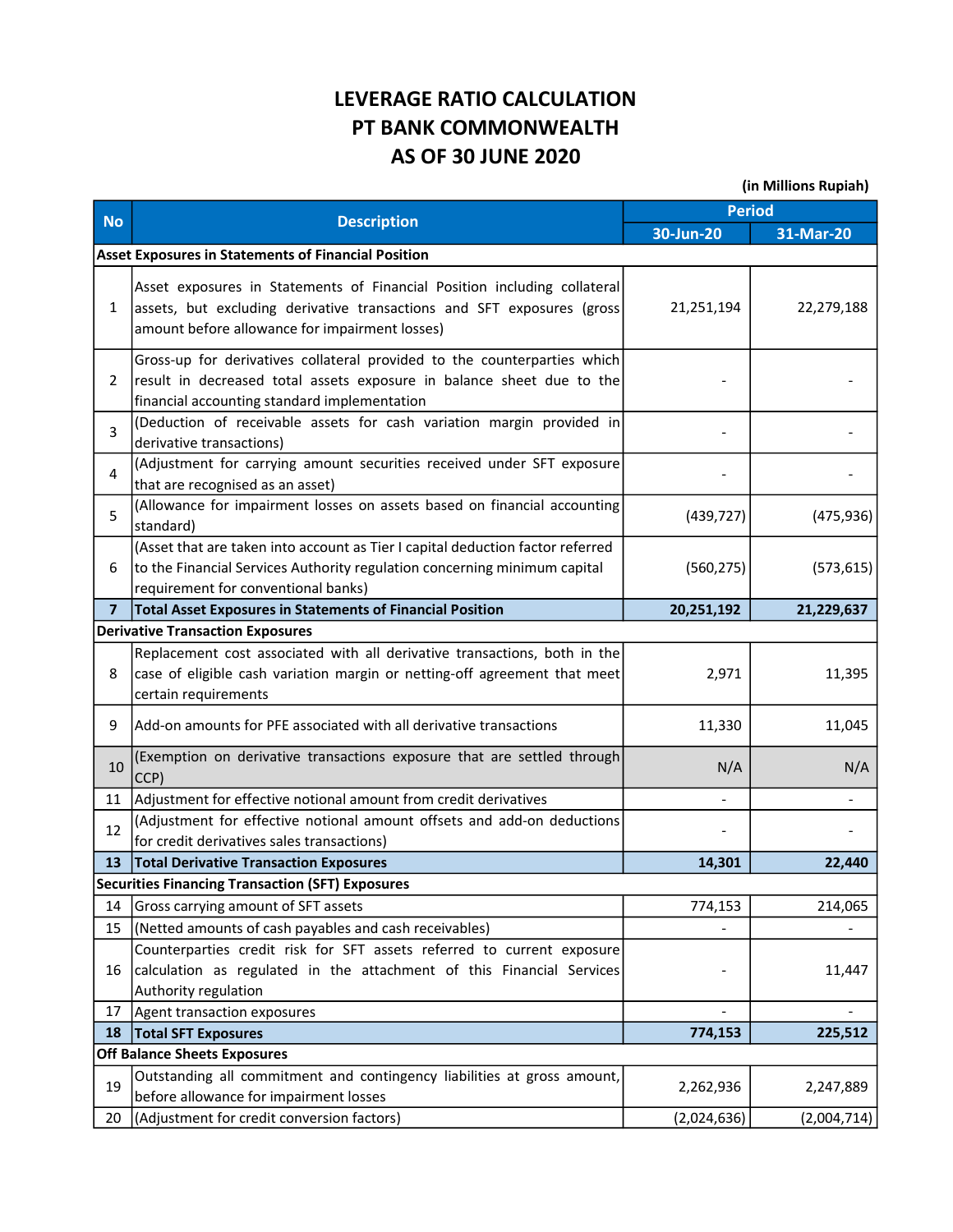## LEVERAGE RATIO CALCULATION PT BANK COMMONWEALTH AS OF 30 JUNE 2020

(in Millions Rupiah)

|                | <b>Description</b>                                                                                                                                                                                   | <b>Period</b>            |             |
|----------------|------------------------------------------------------------------------------------------------------------------------------------------------------------------------------------------------------|--------------------------|-------------|
| <b>No</b>      |                                                                                                                                                                                                      | 30-Jun-20                | 31-Mar-20   |
|                | <b>Asset Exposures in Statements of Financial Position</b>                                                                                                                                           |                          |             |
| $\mathbf{1}$   | Asset exposures in Statements of Financial Position including collateral<br>assets, but excluding derivative transactions and SFT exposures (gross<br>amount before allowance for impairment losses) | 21,251,194               | 22,279,188  |
| $\overline{2}$ | Gross-up for derivatives collateral provided to the counterparties which<br>result in decreased total assets exposure in balance sheet due to the<br>financial accounting standard implementation    |                          |             |
| 3              | (Deduction of receivable assets for cash variation margin provided in<br>derivative transactions)                                                                                                    |                          |             |
| 4              | (Adjustment for carrying amount securities received under SFT exposure<br>that are recognised as an asset)                                                                                           |                          |             |
| 5              | (Allowance for impairment losses on assets based on financial accounting<br>standard)                                                                                                                | (439, 727)               | (475, 936)  |
| 6              | (Asset that are taken into account as Tier I capital deduction factor referred<br>to the Financial Services Authority regulation concerning minimum capital<br>requirement for conventional banks)   | (560, 275)               | (573, 615)  |
| $\overline{7}$ | <b>Total Asset Exposures in Statements of Financial Position</b>                                                                                                                                     | 20,251,192               | 21,229,637  |
|                | <b>Derivative Transaction Exposures</b>                                                                                                                                                              |                          |             |
|                | Replacement cost associated with all derivative transactions, both in the                                                                                                                            |                          |             |
| 8              | case of eligible cash variation margin or netting-off agreement that meet<br>certain requirements                                                                                                    | 2,971                    | 11,395      |
| 9              | Add-on amounts for PFE associated with all derivative transactions                                                                                                                                   | 11,330                   | 11,045      |
| 10             | (Exemption on derivative transactions exposure that are settled through<br>CCP)                                                                                                                      | N/A                      | N/A         |
| 11             | Adjustment for effective notional amount from credit derivatives                                                                                                                                     | $\overline{\phantom{a}}$ |             |
| 12             | (Adjustment for effective notional amount offsets and add-on deductions<br>for credit derivatives sales transactions)                                                                                |                          |             |
| 13             | <b>Total Derivative Transaction Exposures</b>                                                                                                                                                        | 14,301                   | 22,440      |
|                | <b>Securities Financing Transaction (SFT) Exposures</b>                                                                                                                                              |                          |             |
| 14             | Gross carrying amount of SFT assets                                                                                                                                                                  | 774,153                  | 214,065     |
| 15             | (Netted amounts of cash payables and cash receivables)                                                                                                                                               |                          |             |
| 16             | Counterparties credit risk for SFT assets referred to current exposure<br>calculation as regulated in the attachment of this Financial Services<br>Authority regulation                              |                          | 11,447      |
| 17             | Agent transaction exposures                                                                                                                                                                          |                          |             |
| 18             | <b>Total SFT Exposures</b>                                                                                                                                                                           | 774,153                  | 225,512     |
|                | <b>Off Balance Sheets Exposures</b>                                                                                                                                                                  |                          |             |
| 19             | Outstanding all commitment and contingency liabilities at gross amount,<br>before allowance for impairment losses                                                                                    | 2,262,936                | 2,247,889   |
| 20             | (Adjustment for credit conversion factors)                                                                                                                                                           | (2,024,636)              | (2,004,714) |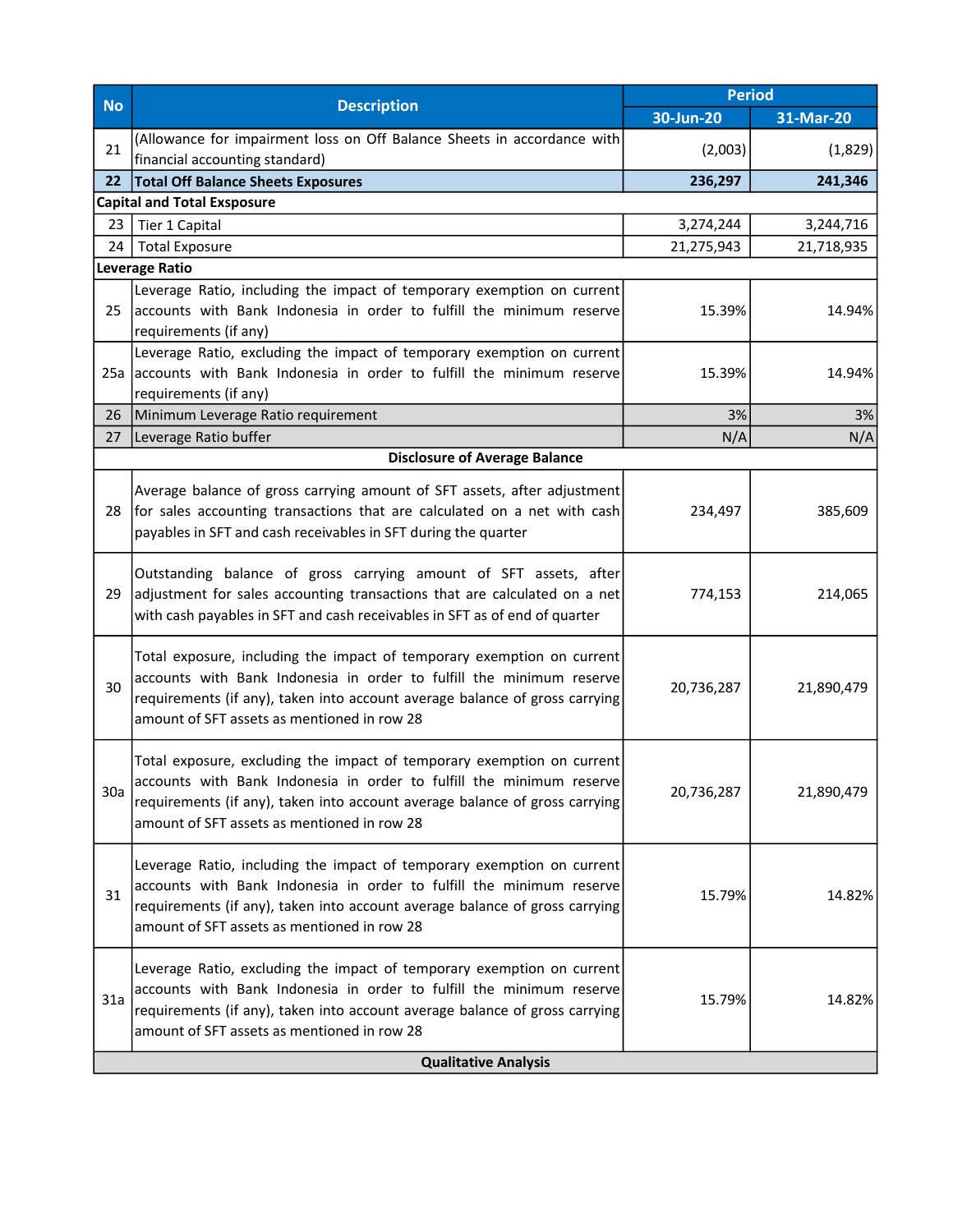| <b>No</b>                   | <b>Description</b>                                                                                                                                                                                                                                                           | <b>Period</b> |            |  |
|-----------------------------|------------------------------------------------------------------------------------------------------------------------------------------------------------------------------------------------------------------------------------------------------------------------------|---------------|------------|--|
|                             |                                                                                                                                                                                                                                                                              | 30-Jun-20     | 31-Mar-20  |  |
| 21                          | (Allowance for impairment loss on Off Balance Sheets in accordance with<br>financial accounting standard)                                                                                                                                                                    | (2,003)       | (1,829)    |  |
| 22                          | <b>Total Off Balance Sheets Exposures</b>                                                                                                                                                                                                                                    | 236,297       | 241,346    |  |
|                             | <b>Capital and Total Exsposure</b>                                                                                                                                                                                                                                           |               |            |  |
| 23                          | Tier 1 Capital                                                                                                                                                                                                                                                               | 3,274,244     | 3,244,716  |  |
| 24                          | <b>Total Exposure</b>                                                                                                                                                                                                                                                        | 21,275,943    | 21,718,935 |  |
|                             | <b>Leverage Ratio</b>                                                                                                                                                                                                                                                        |               |            |  |
| 25                          | Leverage Ratio, including the impact of temporary exemption on current<br>accounts with Bank Indonesia in order to fulfill the minimum reserve<br>requirements (if any)                                                                                                      | 15.39%        | 14.94%     |  |
|                             | Leverage Ratio, excluding the impact of temporary exemption on current<br>25a accounts with Bank Indonesia in order to fulfill the minimum reserve<br>requirements (if any)                                                                                                  | 15.39%        | 14.94%     |  |
| 26                          | Minimum Leverage Ratio requirement                                                                                                                                                                                                                                           | 3%            | 3%         |  |
| 27                          | Leverage Ratio buffer                                                                                                                                                                                                                                                        | N/A           | N/A        |  |
|                             | <b>Disclosure of Average Balance</b>                                                                                                                                                                                                                                         |               |            |  |
| 28                          | Average balance of gross carrying amount of SFT assets, after adjustment<br>for sales accounting transactions that are calculated on a net with cash<br>payables in SFT and cash receivables in SFT during the quarter                                                       | 234,497       | 385,609    |  |
| 29                          | Outstanding balance of gross carrying amount of SFT assets, after<br>adjustment for sales accounting transactions that are calculated on a net<br>with cash payables in SFT and cash receivables in SFT as of end of quarter                                                 | 774,153       | 214,065    |  |
| 30                          | Total exposure, including the impact of temporary exemption on current<br>accounts with Bank Indonesia in order to fulfill the minimum reserve<br>requirements (if any), taken into account average balance of gross carrying<br>amount of SFT assets as mentioned in row 28 | 20,736,287    | 21,890,479 |  |
| 30a                         | Total exposure, excluding the impact of temporary exemption on current<br>accounts with Bank Indonesia in order to fulfill the minimum reserve<br>requirements (if any), taken into account average balance of gross carrying<br>amount of SFT assets as mentioned in row 28 | 20,736,287    | 21,890,479 |  |
| 31                          | Leverage Ratio, including the impact of temporary exemption on current<br>accounts with Bank Indonesia in order to fulfill the minimum reserve<br>requirements (if any), taken into account average balance of gross carrying<br>amount of SFT assets as mentioned in row 28 | 15.79%        | 14.82%     |  |
| 31a                         | Leverage Ratio, excluding the impact of temporary exemption on current<br>accounts with Bank Indonesia in order to fulfill the minimum reserve<br>requirements (if any), taken into account average balance of gross carrying<br>amount of SFT assets as mentioned in row 28 | 15.79%        | 14.82%     |  |
| <b>Qualitative Analysis</b> |                                                                                                                                                                                                                                                                              |               |            |  |